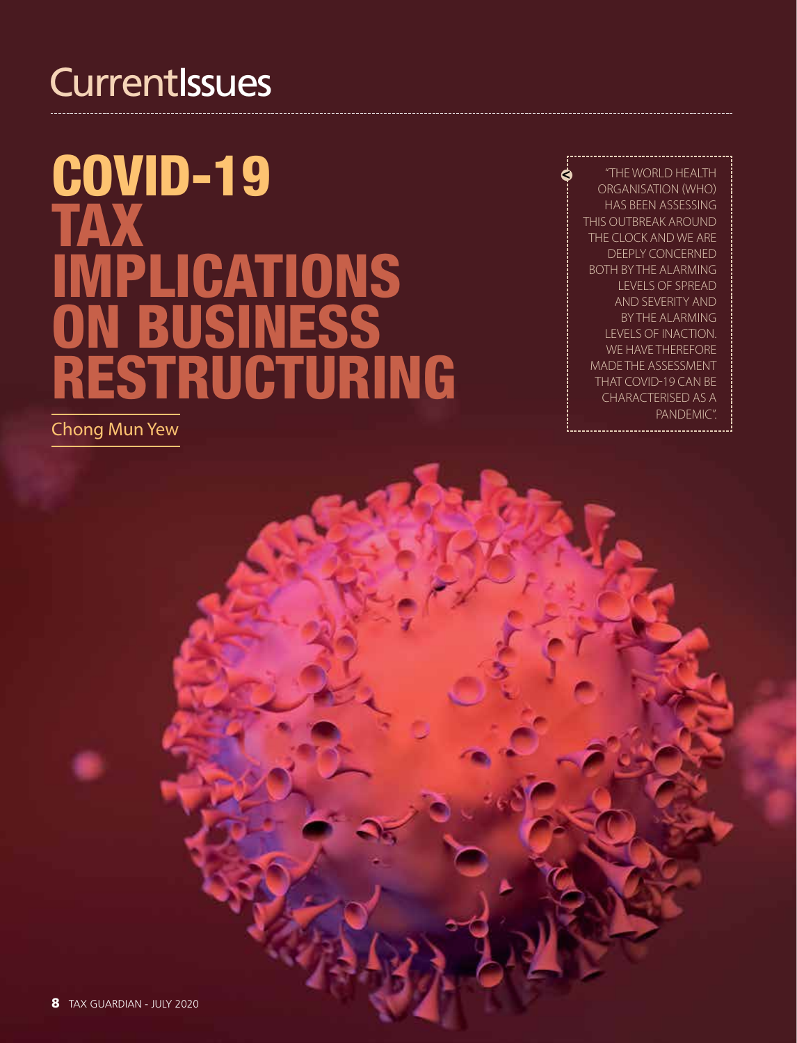## **CurrentIssues**

# COVID-19 Tax implications on business restructuring

Chong Mun Yew

"The World Health Organisation (WHO) has been assessing this outbreak around the clock and we are deeply concerned both by the alarming levels of spread and severity and by the alarming levels of inaction. WE HAVE THEREFORE made the assessment that COVID-19 can be characterised as a pandemic".

¢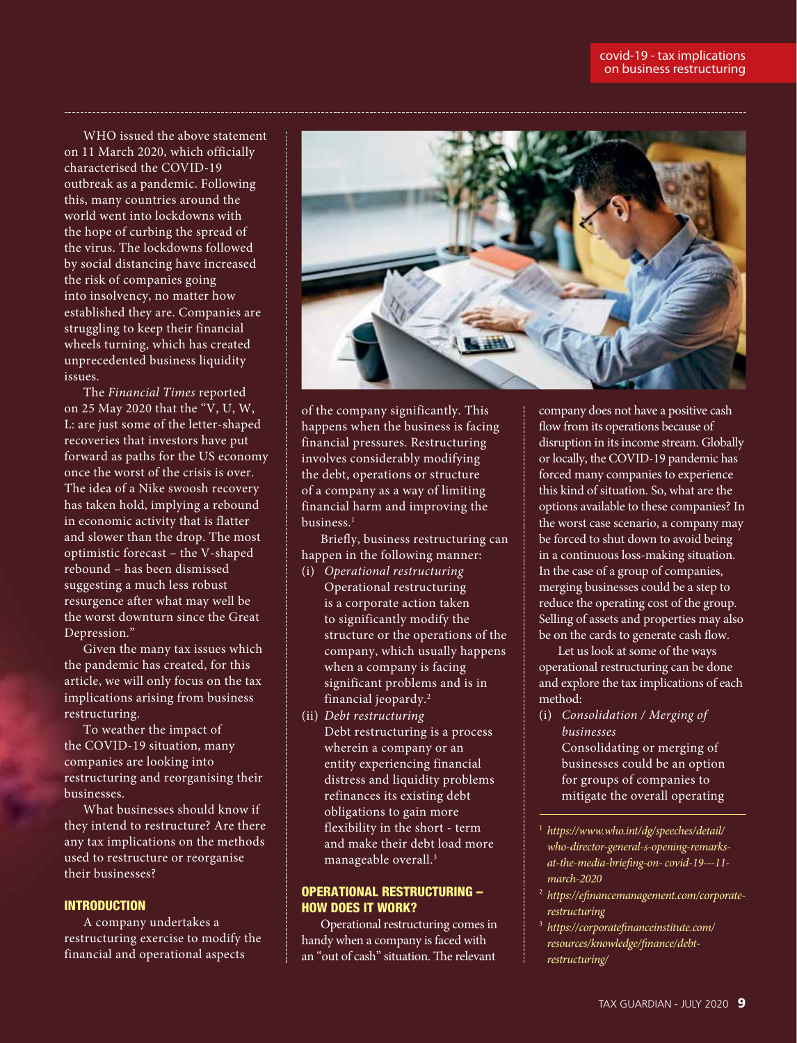WHO issued the above statement on 11 March 2020, which officially characterised the COVID-19 outbreak as a pandemic. Following this, many countries around the world went into lockdowns with the hope of curbing the spread of the virus. The lockdowns followed by social distancing have increased the risk of companies going into insolvency, no matter how established they are. Companies are struggling to keep their financial wheels turning, which has created unprecedented business liquidity issues.

The *Financial Times* reported on 25 May 2020 that the "V, U, W, L: are just some of the letter-shaped recoveries that investors have put forward as paths for the US economy once the worst of the crisis is over. The idea of a Nike swoosh recovery has taken hold, implying a rebound in economic activity that is flatter and slower than the drop. The most optimistic forecast – the V-shaped rebound – has been dismissed suggesting a much less robust resurgence after what may well be the worst downturn since the Great Depression."

Given the many tax issues which the pandemic has created, for this article, we will only focus on the tax implications arising from business restructuring.

To weather the impact of the COVID-19 situation, many companies are looking into restructuring and reorganising their businesses.

What businesses should know if they intend to restructure? Are there any tax implications on the methods used to restructure or reorganise their businesses?

#### **INTRODUCTION**

A company undertakes a restructuring exercise to modify the financial and operational aspects



of the company significantly. This happens when the business is facing financial pressures. Restructuring involves considerably modifying the debt, operations or structure of a company as a way of limiting financial harm and improving the business.<sup>1</sup>

Briefly, business restructuring can happen in the following manner:

- (i) *Operational restructuring* Operational restructuring is a corporate action taken to significantly modify the structure or the operations of the company, which usually happens when a company is facing significant problems and is in financial jeopardy.2
- (ii) *Debt restructuring*  Debt restructuring is a process wherein a company or an entity experiencing financial distress and liquidity problems refinances its existing debt obligations to gain more flexibility in the short - term and make their debt load more manageable overall.3

#### OPERATIONAL RESTRUCTURING – HOW DOES IT WORK?

Operational restructuring comes in handy when a company is faced with an "out of cash" situation. The relevant

company does not have a positive cash flow from its operations because of disruption in its income stream. Globally or locally, the COVID-19 pandemic has forced many companies to experience this kind of situation. So, what are the options available to these companies? In the worst case scenario, a company may be forced to shut down to avoid being in a continuous loss-making situation. In the case of a group of companies, merging businesses could be a step to reduce the operating cost of the group. Selling of assets and properties may also be on the cards to generate cash flow.

Let us look at some of the ways operational restructuring can be done and explore the tax implications of each method:

- (i) *Consolidation / Merging of businesses* Consolidating or merging of businesses could be an option for groups of companies to mitigate the overall operating
- <sup>1</sup> *https://www.who.int/dg/speeches/detail/ who-director-general-s-opening-remarksat-the-media-briefing-on- covid-19---11 march-2020*
- <sup>2</sup> *https://efinancemanagement.com/corporaterestructuring*
- <sup>3</sup> *https://corporatefinanceinstitute.com/ resources/knowledge/finance/debtrestructuring/*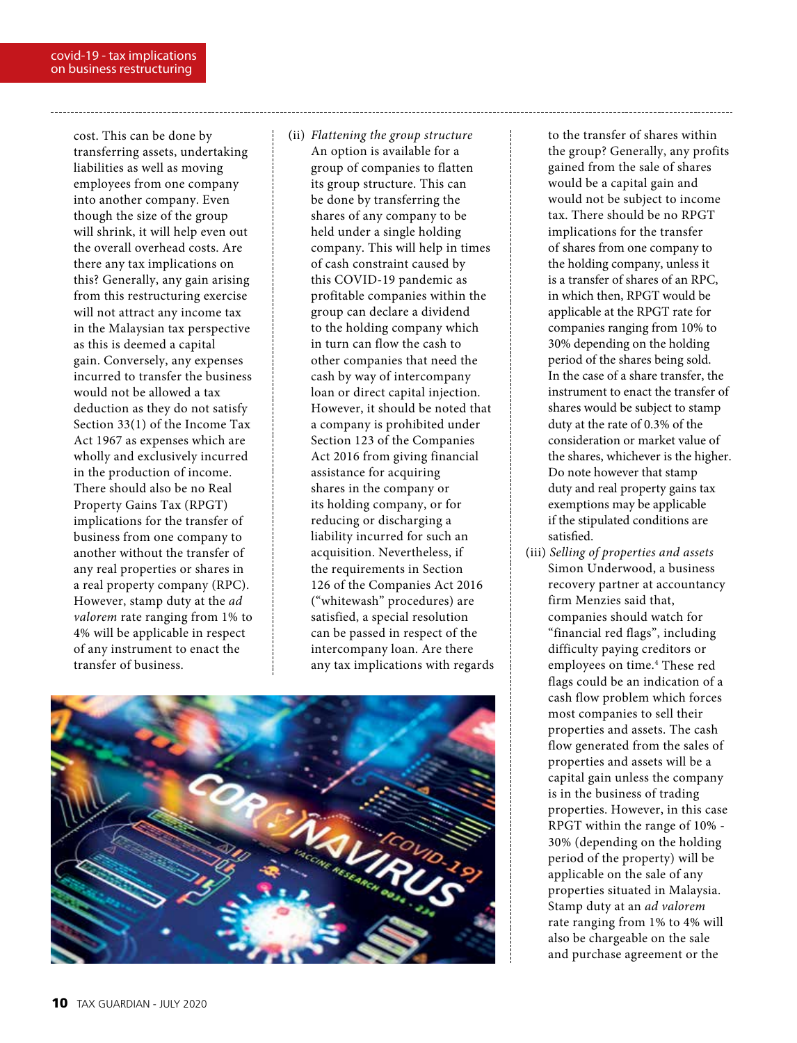cost. This can be done by transferring assets, undertaking liabilities as well as moving employees from one company into another company. Even though the size of the group will shrink, it will help even out the overall overhead costs. Are there any tax implications on this? Generally, any gain arising from this restructuring exercise will not attract any income tax in the Malaysian tax perspective as this is deemed a capital gain. Conversely, any expenses incurred to transfer the business would not be allowed a tax deduction as they do not satisfy Section 33(1) of the Income Tax Act 1967 as expenses which are wholly and exclusively incurred in the production of income. There should also be no Real Property Gains Tax (RPGT) implications for the transfer of business from one company to another without the transfer of any real properties or shares in a real property company (RPC). However, stamp duty at the *ad valorem* rate ranging from 1% to 4% will be applicable in respect of any instrument to enact the transfer of business.

(ii) *Flattening the group structure* An option is available for a group of companies to flatten its group structure. This can be done by transferring the shares of any company to be held under a single holding company. This will help in times of cash constraint caused by this COVID-19 pandemic as profitable companies within the group can declare a dividend to the holding company which in turn can flow the cash to other companies that need the cash by way of intercompany loan or direct capital injection. However, it should be noted that a company is prohibited under Section 123 of the Companies Act 2016 from giving financial assistance for acquiring shares in the company or its holding company, or for reducing or discharging a liability incurred for such an acquisition. Nevertheless, if the requirements in Section 126 of the Companies Act 2016 ("whitewash" procedures) are satisfied, a special resolution can be passed in respect of the intercompany loan. Are there any tax implications with regards



to the transfer of shares within the group? Generally, any profits gained from the sale of shares would be a capital gain and would not be subject to income tax. There should be no RPGT implications for the transfer of shares from one company to the holding company, unless it is a transfer of shares of an RPC, in which then, RPGT would be applicable at the RPGT rate for companies ranging from 10% to 30% depending on the holding period of the shares being sold. In the case of a share transfer, the instrument to enact the transfer of shares would be subject to stamp duty at the rate of 0.3% of the consideration or market value of the shares, whichever is the higher. Do note however that stamp duty and real property gains tax exemptions may be applicable if the stipulated conditions are satisfied.

(iii) *Selling of properties and assets* Simon Underwood, a business recovery partner at accountancy firm Menzies said that, companies should watch for "financial red flags", including difficulty paying creditors or employees on time.4 These red flags could be an indication of a cash flow problem which forces most companies to sell their properties and assets. The cash flow generated from the sales of properties and assets will be a capital gain unless the company is in the business of trading properties. However, in this case RPGT within the range of 10% - 30% (depending on the holding period of the property) will be applicable on the sale of any properties situated in Malaysia. Stamp duty at an *ad valorem* rate ranging from 1% to 4% will also be chargeable on the sale and purchase agreement or the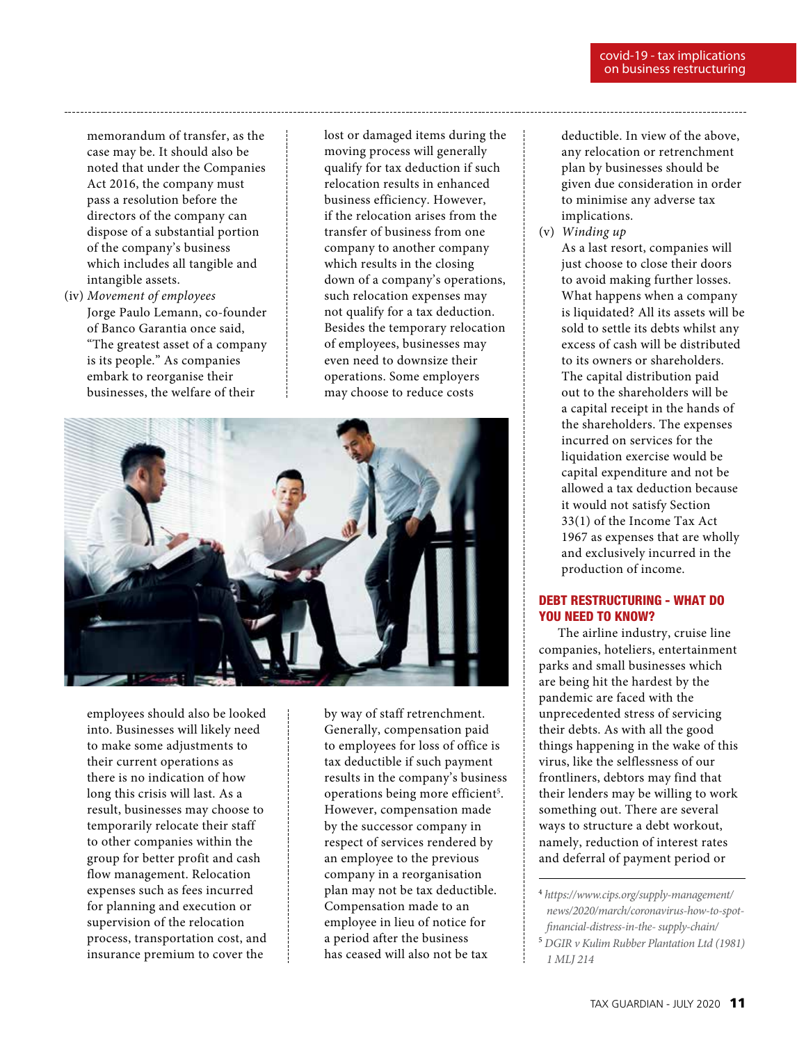memorandum of transfer, as the case may be. It should also be noted that under the Companies Act 2016, the company must pass a resolution before the directors of the company can dispose of a substantial portion of the company's business which includes all tangible and intangible assets.

(iv) *Movement of employees* Jorge Paulo Lemann, co-founder of Banco Garantia once said, "The greatest asset of a company is its people." As companies embark to reorganise their businesses, the welfare of their

lost or damaged items during the moving process will generally qualify for tax deduction if such relocation results in enhanced business efficiency. However, if the relocation arises from the transfer of business from one company to another company which results in the closing down of a company's operations, such relocation expenses may not qualify for a tax deduction. Besides the temporary relocation of employees, businesses may even need to downsize their operations. Some employers may choose to reduce costs



employees should also be looked into. Businesses will likely need to make some adjustments to their current operations as there is no indication of how long this crisis will last. As a result, businesses may choose to temporarily relocate their staff to other companies within the group for better profit and cash flow management. Relocation expenses such as fees incurred for planning and execution or supervision of the relocation process, transportation cost, and insurance premium to cover the

by way of staff retrenchment. Generally, compensation paid to employees for loss of office is tax deductible if such payment results in the company's business operations being more efficient<sup>5</sup>. However, compensation made by the successor company in respect of services rendered by an employee to the previous company in a reorganisation plan may not be tax deductible. Compensation made to an employee in lieu of notice for a period after the business has ceased will also not be tax

deductible. In view of the above, any relocation or retrenchment plan by businesses should be given due consideration in order to minimise any adverse tax implications.

(v) *Winding up* As a last resort, companies will just choose to close their doors to avoid making further losses. What happens when a company is liquidated? All its assets will be sold to settle its debts whilst any excess of cash will be distributed to its owners or shareholders. The capital distribution paid out to the shareholders will be a capital receipt in the hands of the shareholders. The expenses incurred on services for the liquidation exercise would be capital expenditure and not be allowed a tax deduction because it would not satisfy Section 33(1) of the Income Tax Act 1967 as expenses that are wholly and exclusively incurred in the production of income.

#### DEBT RESTRUCTURING - WHAT DO YOU NEED TO KNOW?

The airline industry, cruise line companies, hoteliers, entertainment parks and small businesses which are being hit the hardest by the pandemic are faced with the unprecedented stress of servicing their debts. As with all the good things happening in the wake of this virus, like the selflessness of our frontliners, debtors may find that their lenders may be willing to work something out. There are several ways to structure a debt workout, namely, reduction of interest rates and deferral of payment period or

<sup>4</sup>  *https://www.cips.org/supply-management/ news/2020/march/coronavirus-how-to-spotfinancial-distress-in-the- supply-chain/*

<sup>5</sup>  *DGIR v Kulim Rubber Plantation Ltd (1981) 1 MLJ 214*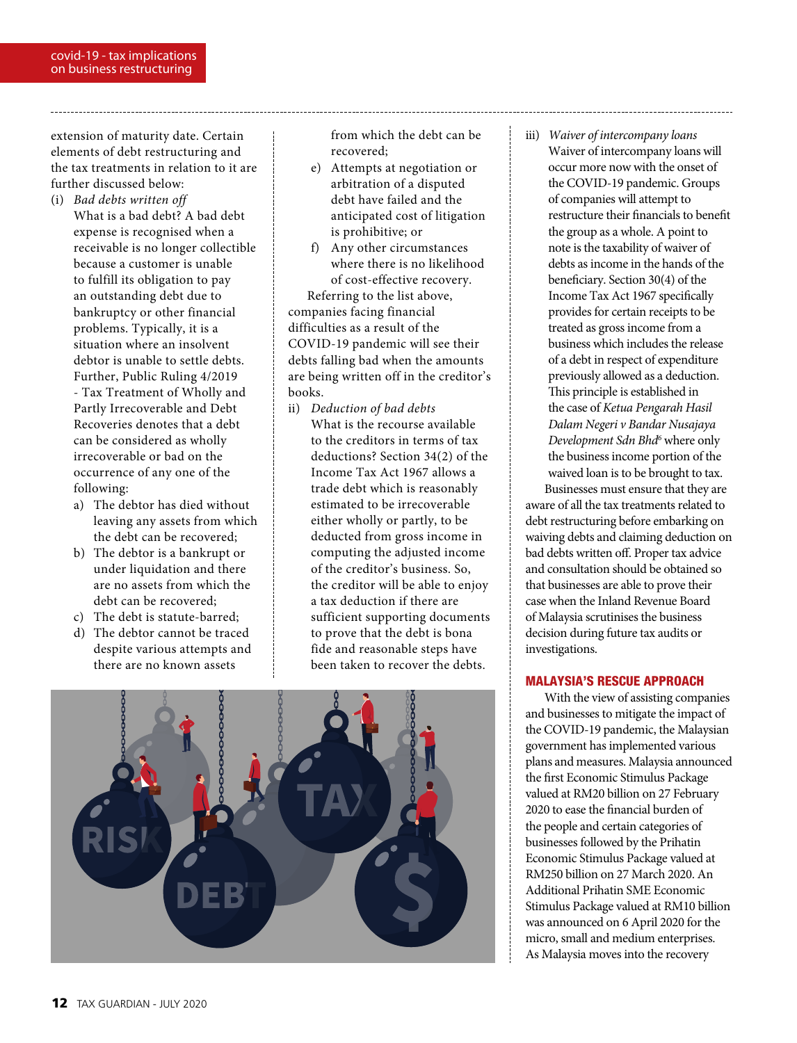extension of maturity date. Certain elements of debt restructuring and the tax treatments in relation to it are further discussed below:

- (i) *Bad debts written off* What is a bad debt? A bad debt expense is recognised when a receivable is no longer collectible because a customer is unable to fulfill its obligation to pay an outstanding debt due to bankruptcy or other financial problems. Typically, it is a situation where an insolvent debtor is unable to settle debts. Further, Public Ruling 4/2019 - Tax Treatment of Wholly and Partly Irrecoverable and Debt Recoveries denotes that a debt can be considered as wholly irrecoverable or bad on the occurrence of any one of the following:
	- a) The debtor has died without leaving any assets from which the debt can be recovered;
	- b) The debtor is a bankrupt or under liquidation and there are no assets from which the debt can be recovered;
	- c) The debt is statute-barred;
	- d) The debtor cannot be traced despite various attempts and there are no known assets

from which the debt can be recovered;

- e) Attempts at negotiation or arbitration of a disputed debt have failed and the anticipated cost of litigation is prohibitive; or
- f) Any other circumstances where there is no likelihood of cost-effective recovery.

Referring to the list above, companies facing financial difficulties as a result of the COVID-19 pandemic will see their debts falling bad when the amounts are being written off in the creditor's books.

ii) *Deduction of bad debts* What is the recourse available to the creditors in terms of tax deductions? Section 34(2) of the Income Tax Act 1967 allows a trade debt which is reasonably estimated to be irrecoverable either wholly or partly, to be deducted from gross income in computing the adjusted income of the creditor's business. So, the creditor will be able to enjoy a tax deduction if there are sufficient supporting documents to prove that the debt is bona fide and reasonable steps have been taken to recover the debts.



iii) *Waiver of intercompany loans* Waiver of intercompany loans will occur more now with the onset of the COVID-19 pandemic. Groups of companies will attempt to restructure their financials to benefit the group as a whole. A point to note is the taxability of waiver of debts as income in the hands of the beneficiary. Section 30(4) of the Income Tax Act 1967 specifically provides for certain receipts to be treated as gross income from a business which includes the release of a debt in respect of expenditure previously allowed as a deduction. This principle is established in the case of *Ketua Pengarah Hasil Dalam Negeri v Bandar Nusajaya Development Sdn Bhd6* where only the business income portion of the waived loan is to be brought to tax.

Businesses must ensure that they are aware of all the tax treatments related to debt restructuring before embarking on waiving debts and claiming deduction on bad debts written off. Proper tax advice and consultation should be obtained so that businesses are able to prove their case when the Inland Revenue Board of Malaysia scrutinises the business decision during future tax audits or investigations.

#### MALAYSIA'S RESCUE APPROACH

With the view of assisting companies and businesses to mitigate the impact of the COVID-19 pandemic, the Malaysian government has implemented various plans and measures. Malaysia announced the first Economic Stimulus Package valued at RM20 billion on 27 February 2020 to ease the financial burden of the people and certain categories of businesses followed by the Prihatin Economic Stimulus Package valued at RM250 billion on 27 March 2020. An Additional Prihatin SME Economic Stimulus Package valued at RM10 billion was announced on 6 April 2020 for the micro, small and medium enterprises. As Malaysia moves into the recovery